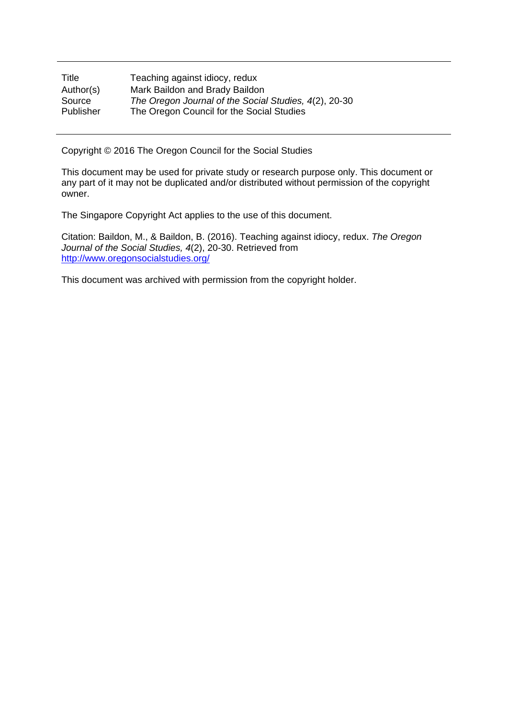| Title     | Teaching against idiocy, redux                        |
|-----------|-------------------------------------------------------|
| Author(s) | Mark Baildon and Brady Baildon                        |
| Source    | The Oregon Journal of the Social Studies, 4(2), 20-30 |
| Publisher | The Oregon Council for the Social Studies             |

Copyright © 2016 The Oregon Council for the Social Studies

This document may be used for private study or research purpose only. This document or any part of it may not be duplicated and/or distributed without permission of the copyright owner.

The Singapore Copyright Act applies to the use of this document.

Citation: Baildon, M., & Baildon, B. (2016). Teaching against idiocy, redux. *The Oregon Journal of the Social Studies, 4*(2), 20-30. Retrieved from http://www.oregonsocialstudies.org/

This document was archived with permission from the copyright holder.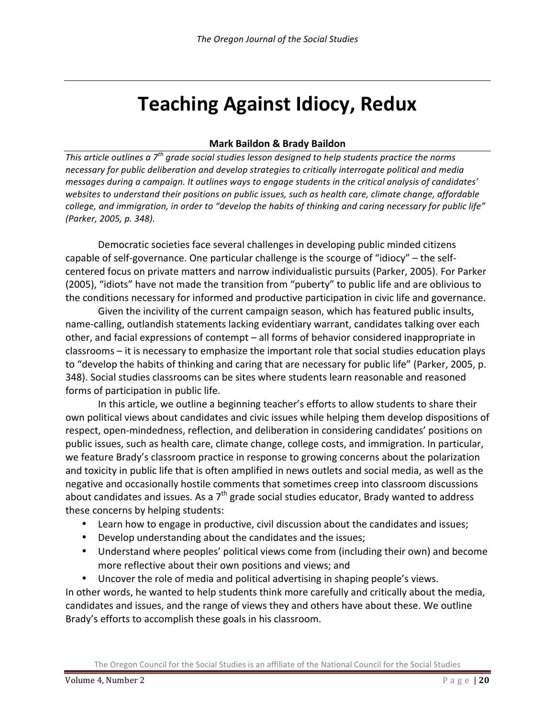# **Teaching Against Idiocy, Redux**

#### **Mark Baildon & Brady Baildon**

*This article outlines a*  $7<sup>th</sup>$  *grade social studies lesson designed to help students practice the norms* necessary for public deliberation and develop strategies to critically interrogate political and media messages during a campaign. It outlines ways to engage students in the critical analysis of candidates' websites to understand their positions on public issues, such as health care, climate change, affordable college, and immigration, in order to "develop the habits of thinking and caring necessary for public life" *(Parker, 2005, p. 348).*

Democratic societies face several challenges in developing public minded citizens capable of self-governance. One particular challenge is the scourge of "idiocy" – the selfcentered focus on private matters and narrow individualistic pursuits (Parker, 2005). For Parker (2005), "idiots" have not made the transition from "puberty" to public life and are oblivious to the conditions necessary for informed and productive participation in civic life and governance.

Given the incivility of the current campaign season, which has featured public insults, name-calling, outlandish statements lacking evidentiary warrant, candidates talking over each other, and facial expressions of contempt – all forms of behavior considered inappropriate in classrooms – it is necessary to emphasize the important role that social studies education plays to "develop the habits of thinking and caring that are necessary for public life" (Parker, 2005, p. 348). Social studies classrooms can be sites where students learn reasonable and reasoned forms of participation in public life.

In this article, we outline a beginning teacher's efforts to allow students to share their own political views about candidates and civic issues while helping them develop dispositions of respect, open-mindedness, reflection, and deliberation in considering candidates' positions on public issues, such as health care, climate change, college costs, and immigration. In particular, we feature Brady's classroom practice in response to growing concerns about the polarization and toxicity in public life that is often amplified in news outlets and social media, as well as the negative and occasionally hostile comments that sometimes creep into classroom discussions about candidates and issues. As a  $7<sup>th</sup>$  grade social studies educator, Brady wanted to address these concerns by helping students:

- Learn how to engage in productive, civil discussion about the candidates and issues;
- Develop understanding about the candidates and the issues;
- Understand where peoples' political views come from (including their own) and become more reflective about their own positions and views; and
- Uncover the role of media and political advertising in shaping people's views.

In other words, he wanted to help students think more carefully and critically about the media, candidates and issues, and the range of views they and others have about these. We outline Brady's efforts to accomplish these goals in his classroom.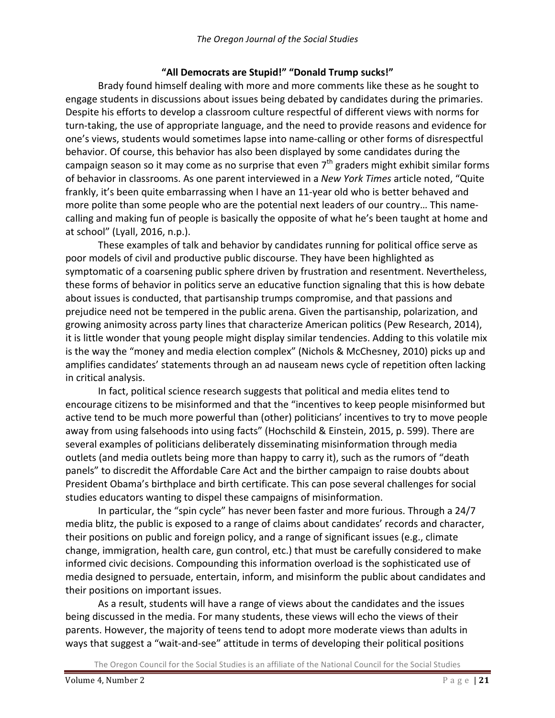#### "All Democrats are Stupid!" "Donald Trump sucks!"

Brady found himself dealing with more and more comments like these as he sought to engage students in discussions about issues being debated by candidates during the primaries. Despite his efforts to develop a classroom culture respectful of different views with norms for turn-taking, the use of appropriate language, and the need to provide reasons and evidence for one's views, students would sometimes lapse into name-calling or other forms of disrespectful behavior. Of course, this behavior has also been displayed by some candidates during the campaign season so it may come as no surprise that even  $7<sup>th</sup>$  graders might exhibit similar forms of behavior in classrooms. As one parent interviewed in a *New York Times* article noted, "Quite frankly, it's been quite embarrassing when I have an 11-year old who is better behaved and more polite than some people who are the potential next leaders of our country... This namecalling and making fun of people is basically the opposite of what he's been taught at home and at school" (Lyall, 2016, n.p.).

These examples of talk and behavior by candidates running for political office serve as poor models of civil and productive public discourse. They have been highlighted as symptomatic of a coarsening public sphere driven by frustration and resentment. Nevertheless, these forms of behavior in politics serve an educative function signaling that this is how debate about issues is conducted, that partisanship trumps compromise, and that passions and prejudice need not be tempered in the public arena. Given the partisanship, polarization, and growing animosity across party lines that characterize American politics (Pew Research, 2014), it is little wonder that young people might display similar tendencies. Adding to this volatile mix is the way the "money and media election complex" (Nichols & McChesney, 2010) picks up and amplifies candidates' statements through an ad nauseam news cycle of repetition often lacking in critical analysis.

In fact, political science research suggests that political and media elites tend to encourage citizens to be misinformed and that the "incentives to keep people misinformed but active tend to be much more powerful than (other) politicians' incentives to try to move people away from using falsehoods into using facts" (Hochschild & Einstein, 2015, p. 599). There are several examples of politicians deliberately disseminating misinformation through media outlets (and media outlets being more than happy to carry it), such as the rumors of "death panels" to discredit the Affordable Care Act and the birther campaign to raise doubts about President Obama's birthplace and birth certificate. This can pose several challenges for social studies educators wanting to dispel these campaigns of misinformation.

In particular, the "spin cycle" has never been faster and more furious. Through a 24/7 media blitz, the public is exposed to a range of claims about candidates' records and character, their positions on public and foreign policy, and a range of significant issues (e.g., climate change, immigration, health care, gun control, etc.) that must be carefully considered to make informed civic decisions. Compounding this information overload is the sophisticated use of media designed to persuade, entertain, inform, and misinform the public about candidates and their positions on important issues.

As a result, students will have a range of views about the candidates and the issues being discussed in the media. For many students, these views will echo the views of their parents. However, the majority of teens tend to adopt more moderate views than adults in ways that suggest a "wait-and-see" attitude in terms of developing their political positions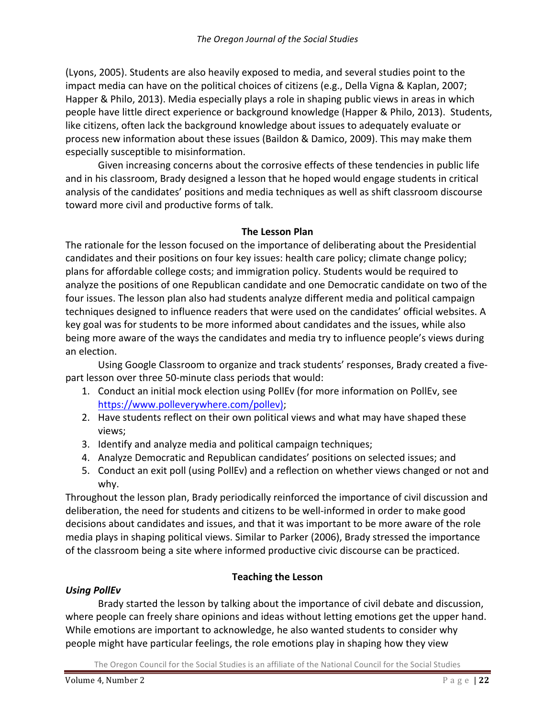(Lyons, 2005). Students are also heavily exposed to media, and several studies point to the impact media can have on the political choices of citizens (e.g., Della Vigna & Kaplan, 2007; Happer & Philo, 2013). Media especially plays a role in shaping public views in areas in which people have little direct experience or background knowledge (Happer & Philo, 2013). Students, like citizens, often lack the background knowledge about issues to adequately evaluate or process new information about these issues (Baildon & Damico, 2009). This may make them especially susceptible to misinformation.

Given increasing concerns about the corrosive effects of these tendencies in public life and in his classroom, Brady designed a lesson that he hoped would engage students in critical analysis of the candidates' positions and media techniques as well as shift classroom discourse toward more civil and productive forms of talk.

# **The Lesson Plan**

The rationale for the lesson focused on the importance of deliberating about the Presidential candidates and their positions on four key issues: health care policy; climate change policy; plans for affordable college costs; and immigration policy. Students would be required to analyze the positions of one Republican candidate and one Democratic candidate on two of the four issues. The lesson plan also had students analyze different media and political campaign techniques designed to influence readers that were used on the candidates' official websites. A key goal was for students to be more informed about candidates and the issues, while also being more aware of the ways the candidates and media try to influence people's views during an election.

Using Google Classroom to organize and track students' responses, Brady created a fivepart lesson over three 50-minute class periods that would:

- 1. Conduct an initial mock election using PollEv (for more information on PollEv, see https://www.polleverywhere.com/pollev);
- 2. Have students reflect on their own political views and what may have shaped these views;
- 3. Identify and analyze media and political campaign techniques;
- 4. Analyze Democratic and Republican candidates' positions on selected issues; and
- 5. Conduct an exit poll (using PollEv) and a reflection on whether views changed or not and why.

Throughout the lesson plan, Brady periodically reinforced the importance of civil discussion and deliberation, the need for students and citizens to be well-informed in order to make good decisions about candidates and issues, and that it was important to be more aware of the role media plays in shaping political views. Similar to Parker (2006), Brady stressed the importance of the classroom being a site where informed productive civic discourse can be practiced.

# **Teaching the Lesson**

# *Using PollEv*

Brady started the lesson by talking about the importance of civil debate and discussion, where people can freely share opinions and ideas without letting emotions get the upper hand. While emotions are important to acknowledge, he also wanted students to consider why people might have particular feelings, the role emotions play in shaping how they view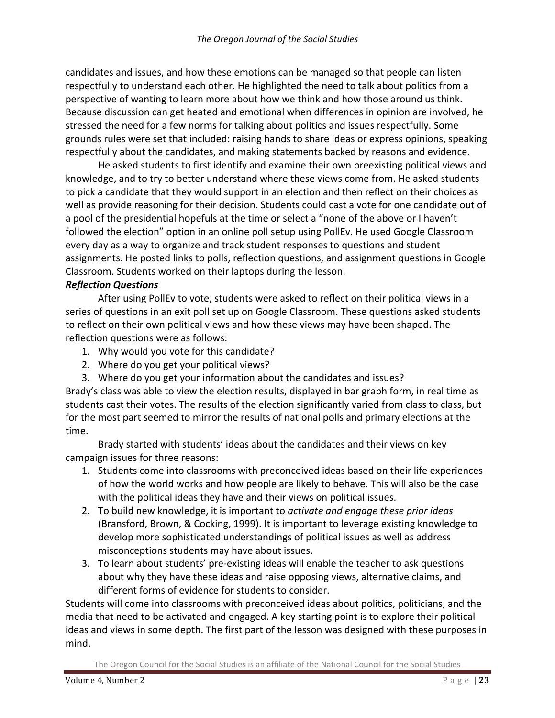candidates and issues, and how these emotions can be managed so that people can listen respectfully to understand each other. He highlighted the need to talk about politics from a perspective of wanting to learn more about how we think and how those around us think. Because discussion can get heated and emotional when differences in opinion are involved, he stressed the need for a few norms for talking about politics and issues respectfully. Some grounds rules were set that included: raising hands to share ideas or express opinions, speaking respectfully about the candidates, and making statements backed by reasons and evidence.

He asked students to first identify and examine their own preexisting political views and knowledge, and to try to better understand where these views come from. He asked students to pick a candidate that they would support in an election and then reflect on their choices as well as provide reasoning for their decision. Students could cast a vote for one candidate out of a pool of the presidential hopefuls at the time or select a "none of the above or I haven't followed the election" option in an online poll setup using PollEv. He used Google Classroom every day as a way to organize and track student responses to questions and student assignments. He posted links to polls, reflection questions, and assignment questions in Google Classroom. Students worked on their laptops during the lesson.

#### *Reflection Questions*

After using PollEv to vote, students were asked to reflect on their political views in a series of questions in an exit poll set up on Google Classroom. These questions asked students to reflect on their own political views and how these views may have been shaped. The reflection questions were as follows:

- 1. Why would you vote for this candidate?
- 2. Where do you get your political views?
- 3. Where do you get your information about the candidates and issues?

Brady's class was able to view the election results, displayed in bar graph form, in real time as students cast their votes. The results of the election significantly varied from class to class, but for the most part seemed to mirror the results of national polls and primary elections at the time. 

Brady started with students' ideas about the candidates and their views on key campaign issues for three reasons:

- 1. Students come into classrooms with preconceived ideas based on their life experiences of how the world works and how people are likely to behave. This will also be the case with the political ideas they have and their views on political issues.
- 2. To build new knowledge, it is important to *activate and engage these prior ideas* (Bransford, Brown, & Cocking, 1999). It is important to leverage existing knowledge to develop more sophisticated understandings of political issues as well as address misconceptions students may have about issues.
- 3. To learn about students' pre-existing ideas will enable the teacher to ask questions about why they have these ideas and raise opposing views, alternative claims, and different forms of evidence for students to consider.

Students will come into classrooms with preconceived ideas about politics, politicians, and the media that need to be activated and engaged. A key starting point is to explore their political ideas and views in some depth. The first part of the lesson was designed with these purposes in mind.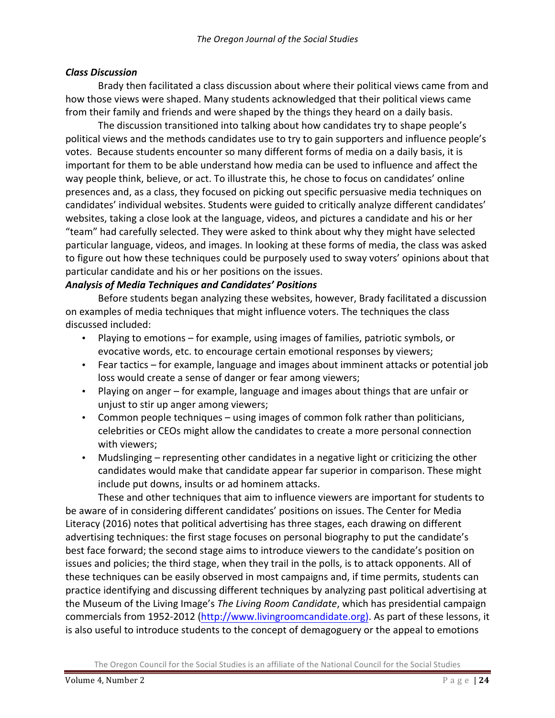#### *Class Discussion*

Brady then facilitated a class discussion about where their political views came from and how those views were shaped. Many students acknowledged that their political views came from their family and friends and were shaped by the things they heard on a daily basis.

The discussion transitioned into talking about how candidates try to shape people's political views and the methods candidates use to try to gain supporters and influence people's votes. Because students encounter so many different forms of media on a daily basis, it is important for them to be able understand how media can be used to influence and affect the way people think, believe, or act. To illustrate this, he chose to focus on candidates' online presences and, as a class, they focused on picking out specific persuasive media techniques on candidates' individual websites. Students were guided to critically analyze different candidates' websites, taking a close look at the language, videos, and pictures a candidate and his or her "team" had carefully selected. They were asked to think about why they might have selected particular language, videos, and images. In looking at these forms of media, the class was asked to figure out how these techniques could be purposely used to sway voters' opinions about that particular candidate and his or her positions on the issues.

#### *Analysis of Media Techniques and Candidates' Positions*

Before students began analyzing these websites, however, Brady facilitated a discussion on examples of media techniques that might influence voters. The techniques the class discussed included:

- Playing to emotions for example, using images of families, patriotic symbols, or evocative words, etc. to encourage certain emotional responses by viewers;
- Fear tactics for example, language and images about imminent attacks or potential job loss would create a sense of danger or fear among viewers;
- Playing on anger for example, language and images about things that are unfair or unjust to stir up anger among viewers;
- Common people techniques using images of common folk rather than politicians, celebrities or CEOs might allow the candidates to create a more personal connection with viewers;
- Mudslinging representing other candidates in a negative light or criticizing the other candidates would make that candidate appear far superior in comparison. These might include put downs, insults or ad hominem attacks.

These and other techniques that aim to influence viewers are important for students to be aware of in considering different candidates' positions on issues. The Center for Media Literacy (2016) notes that political advertising has three stages, each drawing on different advertising techniques: the first stage focuses on personal biography to put the candidate's best face forward; the second stage aims to introduce viewers to the candidate's position on issues and policies; the third stage, when they trail in the polls, is to attack opponents. All of these techniques can be easily observed in most campaigns and, if time permits, students can practice identifying and discussing different techniques by analyzing past political advertising at the Museum of the Living Image's *The Living Room Candidate*, which has presidential campaign commercials from 1952-2012 (http://www.livingroomcandidate.org). As part of these lessons, it is also useful to introduce students to the concept of demagoguery or the appeal to emotions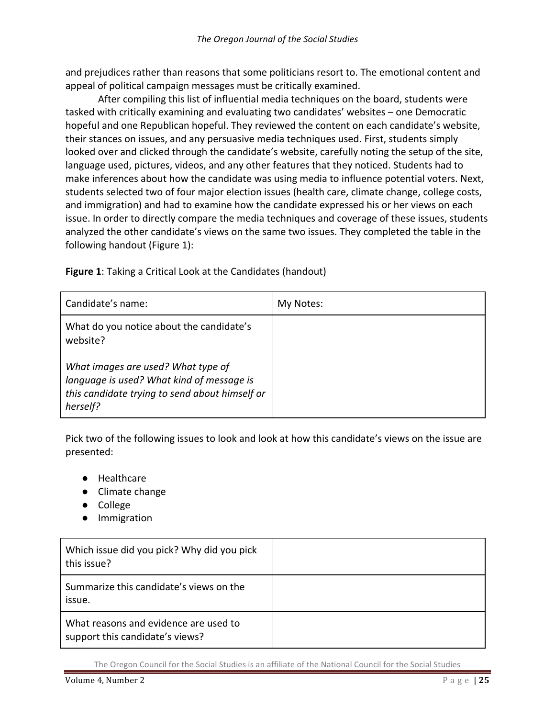and prejudices rather than reasons that some politicians resort to. The emotional content and appeal of political campaign messages must be critically examined.

After compiling this list of influential media techniques on the board, students were tasked with critically examining and evaluating two candidates' websites – one Democratic hopeful and one Republican hopeful. They reviewed the content on each candidate's website, their stances on issues, and any persuasive media techniques used. First, students simply looked over and clicked through the candidate's website, carefully noting the setup of the site, language used, pictures, videos, and any other features that they noticed. Students had to make inferences about how the candidate was using media to influence potential voters. Next, students selected two of four major election issues (health care, climate change, college costs, and immigration) and had to examine how the candidate expressed his or her views on each issue. In order to directly compare the media techniques and coverage of these issues, students analyzed the other candidate's views on the same two issues. They completed the table in the following handout (Figure 1):

**Figure 1**: Taking a Critical Look at the Candidates (handout)

| Candidate's name:                                                                                                                             | My Notes: |
|-----------------------------------------------------------------------------------------------------------------------------------------------|-----------|
| What do you notice about the candidate's<br>website?                                                                                          |           |
| What images are used? What type of<br>language is used? What kind of message is<br>this candidate trying to send about himself or<br>herself? |           |

Pick two of the following issues to look and look at how this candidate's views on the issue are presented:

- Healthcare
- Climate change
- College
- Immigration

| Which issue did you pick? Why did you pick<br>this issue?                |  |
|--------------------------------------------------------------------------|--|
| Summarize this candidate's views on the<br>issue.                        |  |
| What reasons and evidence are used to<br>support this candidate's views? |  |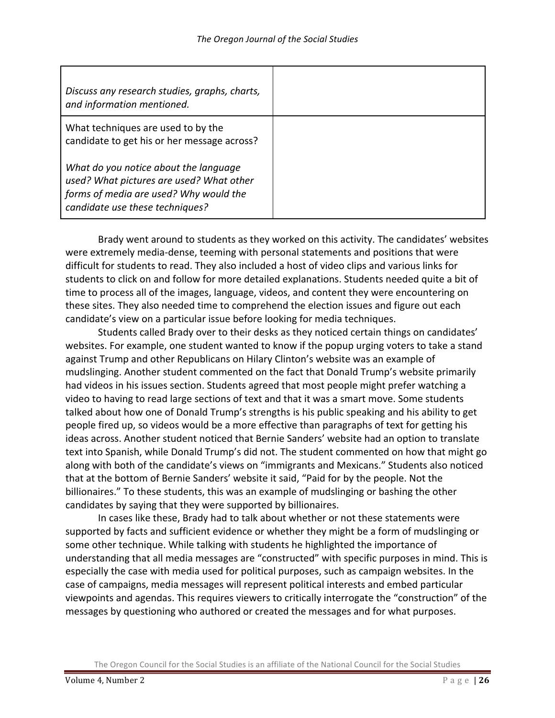| Discuss any research studies, graphs, charts,<br>and information mentioned.                                                                                    |  |
|----------------------------------------------------------------------------------------------------------------------------------------------------------------|--|
| What techniques are used to by the<br>candidate to get his or her message across?                                                                              |  |
| What do you notice about the language<br>used? What pictures are used? What other<br>forms of media are used? Why would the<br>candidate use these techniques? |  |

Brady went around to students as they worked on this activity. The candidates' websites were extremely media-dense, teeming with personal statements and positions that were difficult for students to read. They also included a host of video clips and various links for students to click on and follow for more detailed explanations. Students needed quite a bit of time to process all of the images, language, videos, and content they were encountering on these sites. They also needed time to comprehend the election issues and figure out each candidate's view on a particular issue before looking for media techniques.

Students called Brady over to their desks as they noticed certain things on candidates' websites. For example, one student wanted to know if the popup urging voters to take a stand against Trump and other Republicans on Hilary Clinton's website was an example of mudslinging. Another student commented on the fact that Donald Trump's website primarily had videos in his issues section. Students agreed that most people might prefer watching a video to having to read large sections of text and that it was a smart move. Some students talked about how one of Donald Trump's strengths is his public speaking and his ability to get people fired up, so videos would be a more effective than paragraphs of text for getting his ideas across. Another student noticed that Bernie Sanders' website had an option to translate text into Spanish, while Donald Trump's did not. The student commented on how that might go along with both of the candidate's views on "immigrants and Mexicans." Students also noticed that at the bottom of Bernie Sanders' website it said, "Paid for by the people. Not the billionaires." To these students, this was an example of mudslinging or bashing the other candidates by saying that they were supported by billionaires.

In cases like these, Brady had to talk about whether or not these statements were supported by facts and sufficient evidence or whether they might be a form of mudslinging or some other technique. While talking with students he highlighted the importance of understanding that all media messages are "constructed" with specific purposes in mind. This is especially the case with media used for political purposes, such as campaign websites. In the case of campaigns, media messages will represent political interests and embed particular viewpoints and agendas. This requires viewers to critically interrogate the "construction" of the messages by questioning who authored or created the messages and for what purposes.

The Oregon Council for the Social Studies is an affiliate of the National Council for the Social Studies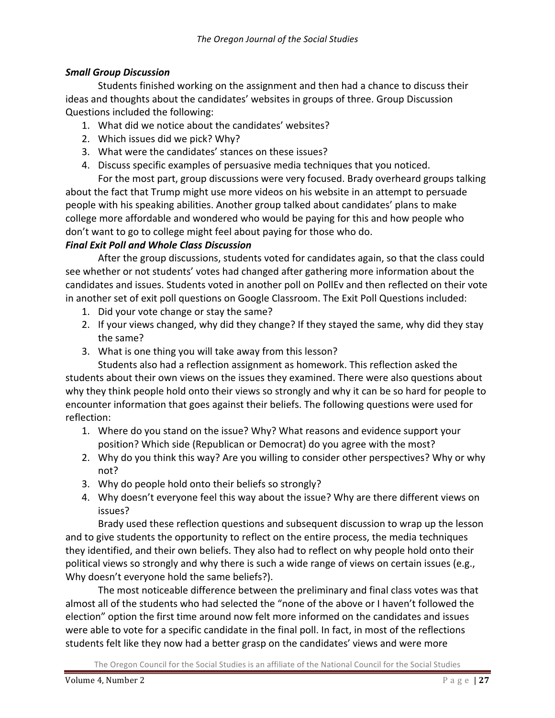# *Small Group Discussion*

Students finished working on the assignment and then had a chance to discuss their ideas and thoughts about the candidates' websites in groups of three. Group Discussion Questions included the following:

- 1. What did we notice about the candidates' websites?
- 2. Which issues did we pick? Why?
- 3. What were the candidates' stances on these issues?
- 4. Discuss specific examples of persuasive media techniques that you noticed.

For the most part, group discussions were very focused. Brady overheard groups talking about the fact that Trump might use more videos on his website in an attempt to persuade people with his speaking abilities. Another group talked about candidates' plans to make college more affordable and wondered who would be paying for this and how people who don't want to go to college might feel about paying for those who do.

# *Final Exit Poll and Whole Class Discussion*

After the group discussions, students voted for candidates again, so that the class could see whether or not students' votes had changed after gathering more information about the candidates and issues. Students voted in another poll on PollEv and then reflected on their vote in another set of exit poll questions on Google Classroom. The Exit Poll Questions included:

- 1. Did your vote change or stay the same?
- 2. If your views changed, why did they change? If they stayed the same, why did they stay the same?
- 3. What is one thing you will take away from this lesson?

Students also had a reflection assignment as homework. This reflection asked the students about their own views on the issues they examined. There were also questions about why they think people hold onto their views so strongly and why it can be so hard for people to encounter information that goes against their beliefs. The following questions were used for reflection:

- 1. Where do you stand on the issue? Why? What reasons and evidence support your position? Which side (Republican or Democrat) do you agree with the most?
- 2. Why do you think this way? Are you willing to consider other perspectives? Why or why not?
- 3. Why do people hold onto their beliefs so strongly?
- 4. Why doesn't everyone feel this way about the issue? Why are there different views on issues?

Brady used these reflection questions and subsequent discussion to wrap up the lesson and to give students the opportunity to reflect on the entire process, the media techniques they identified, and their own beliefs. They also had to reflect on why people hold onto their political views so strongly and why there is such a wide range of views on certain issues (e.g., Why doesn't everyone hold the same beliefs?).

The most noticeable difference between the preliminary and final class votes was that almost all of the students who had selected the "none of the above or I haven't followed the election" option the first time around now felt more informed on the candidates and issues were able to vote for a specific candidate in the final poll. In fact, in most of the reflections students felt like they now had a better grasp on the candidates' views and were more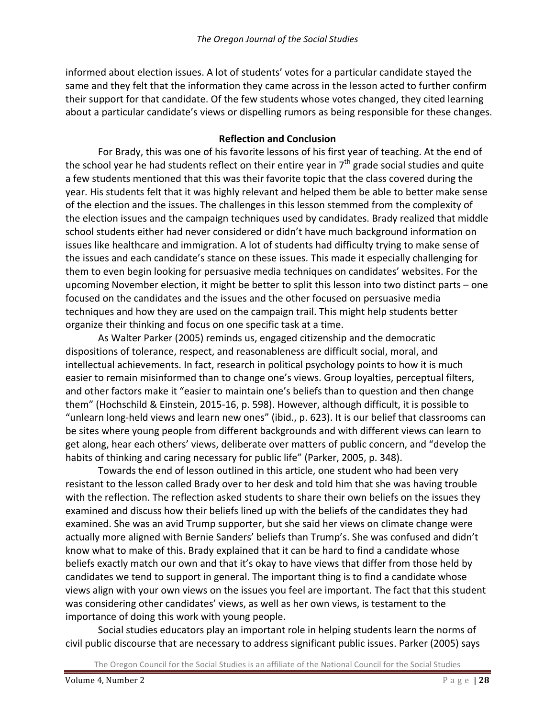informed about election issues. A lot of students' votes for a particular candidate stayed the same and they felt that the information they came across in the lesson acted to further confirm their support for that candidate. Of the few students whose votes changed, they cited learning about a particular candidate's views or dispelling rumors as being responsible for these changes.

#### **Reflection and Conclusion**

For Brady, this was one of his favorite lessons of his first year of teaching. At the end of the school year he had students reflect on their entire year in  $7<sup>th</sup>$  grade social studies and quite a few students mentioned that this was their favorite topic that the class covered during the year. His students felt that it was highly relevant and helped them be able to better make sense of the election and the issues. The challenges in this lesson stemmed from the complexity of the election issues and the campaign techniques used by candidates. Brady realized that middle school students either had never considered or didn't have much background information on issues like healthcare and immigration. A lot of students had difficulty trying to make sense of the issues and each candidate's stance on these issues. This made it especially challenging for them to even begin looking for persuasive media techniques on candidates' websites. For the upcoming November election, it might be better to split this lesson into two distinct parts - one focused on the candidates and the issues and the other focused on persuasive media techniques and how they are used on the campaign trail. This might help students better organize their thinking and focus on one specific task at a time.

As Walter Parker (2005) reminds us, engaged citizenship and the democratic dispositions of tolerance, respect, and reasonableness are difficult social, moral, and intellectual achievements. In fact, research in political psychology points to how it is much easier to remain misinformed than to change one's views. Group loyalties, perceptual filters, and other factors make it "easier to maintain one's beliefs than to question and then change them" (Hochschild & Einstein, 2015-16, p. 598). However, although difficult, it is possible to "unlearn long-held views and learn new ones" (ibid.,  $p. 623$ ). It is our belief that classrooms can be sites where young people from different backgrounds and with different views can learn to get along, hear each others' views, deliberate over matters of public concern, and "develop the habits of thinking and caring necessary for public life" (Parker, 2005, p. 348).

Towards the end of lesson outlined in this article, one student who had been very resistant to the lesson called Brady over to her desk and told him that she was having trouble with the reflection. The reflection asked students to share their own beliefs on the issues they examined and discuss how their beliefs lined up with the beliefs of the candidates they had examined. She was an avid Trump supporter, but she said her views on climate change were actually more aligned with Bernie Sanders' beliefs than Trump's. She was confused and didn't know what to make of this. Brady explained that it can be hard to find a candidate whose beliefs exactly match our own and that it's okay to have views that differ from those held by candidates we tend to support in general. The important thing is to find a candidate whose views align with your own views on the issues you feel are important. The fact that this student was considering other candidates' views, as well as her own views, is testament to the importance of doing this work with young people.

Social studies educators play an important role in helping students learn the norms of civil public discourse that are necessary to address significant public issues. Parker (2005) says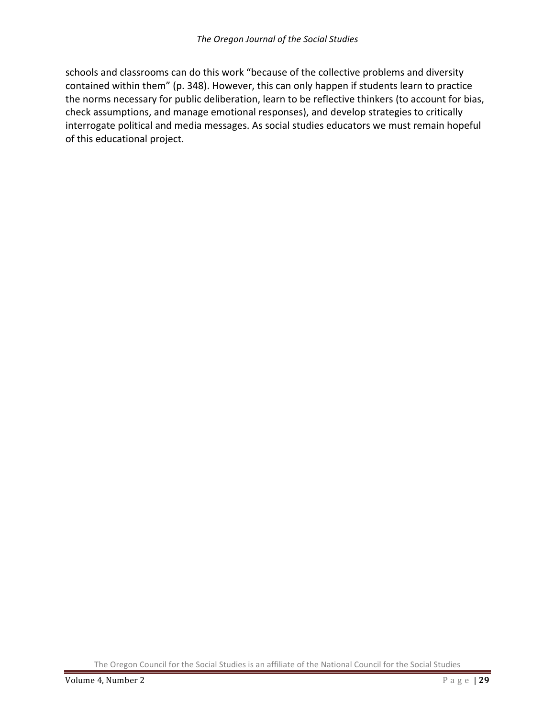schools and classrooms can do this work "because of the collective problems and diversity contained within them" (p. 348). However, this can only happen if students learn to practice the norms necessary for public deliberation, learn to be reflective thinkers (to account for bias, check assumptions, and manage emotional responses), and develop strategies to critically interrogate political and media messages. As social studies educators we must remain hopeful of this educational project.